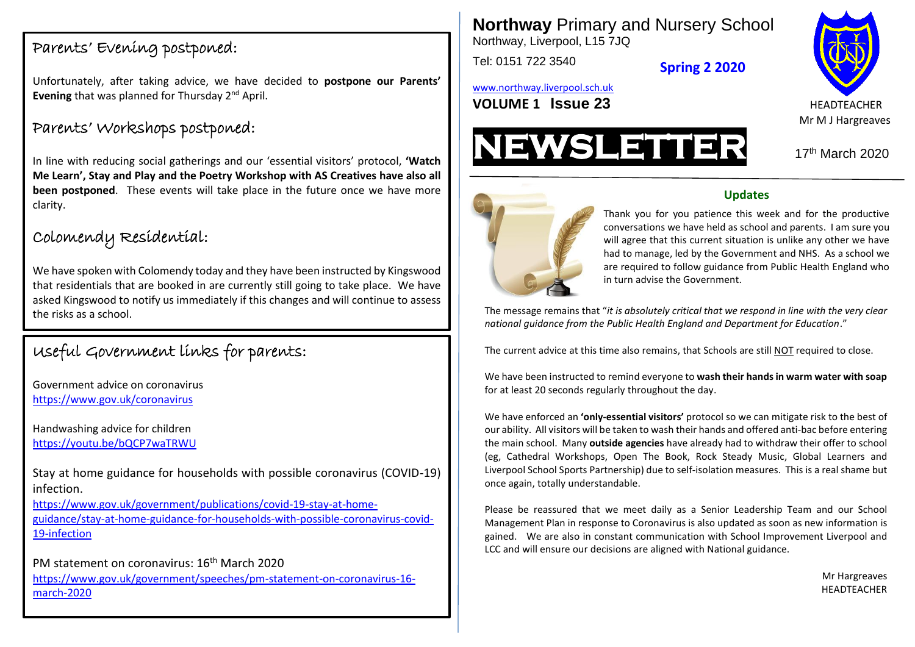### Parents' Evening postponed:

Unfortunately, after taking advice, we have decided to **postpone our Parents' Evening** that was planned for Thursday 2<sup>nd</sup> April.

## Parents' Workshops postponed:

In line with reducing social gatherings and our 'essential visitors' protocol, **'Watch Me Learn', Stay and Play and the Poetry Workshop with AS Creatives have also all been postponed**. These events will take place in the future once we have more clarity.

## Colomendy Residential:

We have spoken with Colomendy today and they have been instructed by Kingswood that residentials that are booked in are currently still going to take place. We have asked Kingswood to notify us immediately if this changes and will continue to assess the risks as a school.

# Useful Government links for parents:

**Team SMWD!** <https://www.gov.uk/coronavirus> Government advice on coronavirus

Handwashing advice for children <https://youtu.be/bQCP7waTRWU>

Stay at home guidance for households with possible coronavirus (COVID-19) infection.

[https://www.gov.uk/government/publications/covid-19-stay-at-home](https://www.gov.uk/government/publications/covid-19-stay-at-home-guidance/stay-at-home-guidance-for-households-with-possible-coronavirus-covid-19-infection)[guidance/stay-at-home-guidance-for-households-with-possible-coronavirus-covid-](https://www.gov.uk/government/publications/covid-19-stay-at-home-guidance/stay-at-home-guidance-for-households-with-possible-coronavirus-covid-19-infection)[19-infection](https://www.gov.uk/government/publications/covid-19-stay-at-home-guidance/stay-at-home-guidance-for-households-with-possible-coronavirus-covid-19-infection)

PM statement on coronavirus: 16th March 2020 [https://www.gov.uk/government/speeches/pm-statement-on-coronavirus-16](https://www.gov.uk/government/speeches/pm-statement-on-coronavirus-16-march-2020) [march-2020](https://www.gov.uk/government/speeches/pm-statement-on-coronavirus-16-march-2020)

**Northway** Primary and Nursery School Northway, Liverpool, L15 7JQ

Tel: 0151 722 3540

**Spring 2 2020**

[www.northway.liverpool.sch.uk](http://www.northway.liverpool.sch.uk/)

**VOLUME 1 SSUE 23** HEADTEACHER





 $17<sup>th</sup>$  March 2020



#### **Updates**

in turn advise the Government. Thank you for you patience this week and for the productive conversations we have held as school and parents. I am sure you will agree that this current situation is unlike any other we have had to manage, led by the Government and NHS. As a school we are required to follow guidance from Public Health England who

The message remains that "*it is absolutely critical that we respond in line with the very clear national guidance from the Public Health England and Department for Education*."

The current advice at this time also remains, that Schools are still NOT required to close.

We have been instructed to remind everyone to **wash their hands in warm water with soap** for at least 20 seconds regularly throughout the day.

We have enforced an **'only-essential visitors'** protocol so we can mitigate risk to the best of our ability. All visitors will be taken to wash their hands and offered anti-bac before entering the main school. Many **outside agencies** have already had to withdraw their offer to school (eg, Cathedral Workshops, Open The Book, Rock Steady Music, Global Learners and Liverpool School Sports Partnership) due to self-isolation measures. This is a real shame but once again, totally understandable.

Please be reassured that we meet daily as a Senior Leadership Team and our School Management Plan in response to Coronavirus is also updated as soon as new information is gained. We are also in constant communication with School Improvement Liverpool and LCC and will ensure our decisions are aligned with National guidance.

> Mr Hargreaves HEADTEACHER